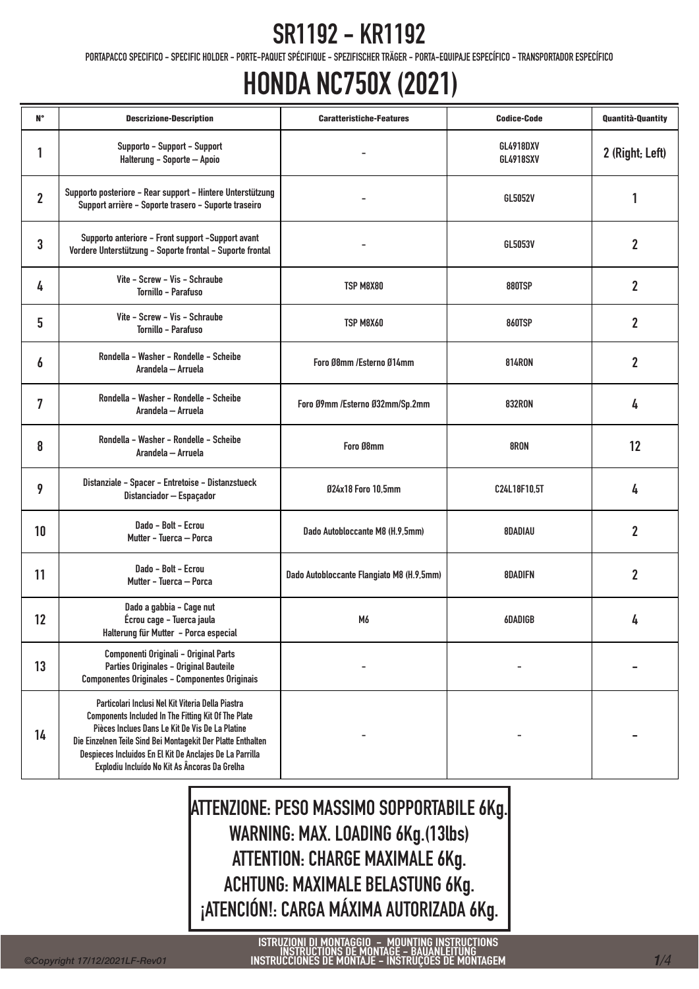PORTAPACCO SPECIFICO - SPECIFIC HOLDER - PORTE-PAQUET SPÉCIFIQUE - SPEZIFISCHER TRÄGER - PORTA-EQUIPAJE ESPECÍFICO - TRANSPORTADOR ESPECÍFICO

## HONDA NC750X (2021)

| <b>N°</b>      | <b>Descrizione-Description</b>                                                                                                                                                                                                                                                                                                                  | <b>Caratteristiche-Features</b>           | <b>Codice-Code</b>            | <b>Quantità-Quantity</b> |
|----------------|-------------------------------------------------------------------------------------------------------------------------------------------------------------------------------------------------------------------------------------------------------------------------------------------------------------------------------------------------|-------------------------------------------|-------------------------------|--------------------------|
| 1              | Supporto - Support - Support<br>Halterung - Soporte - Apoio                                                                                                                                                                                                                                                                                     |                                           | GL4918DXV<br><b>GL4918SXV</b> | 2 (Right; Left)          |
| $\overline{2}$ | Supporto posteriore - Rear support - Hintere Unterstützung<br>Support arrière - Soporte trasero - Suporte traseiro                                                                                                                                                                                                                              |                                           | GL5052V                       | 1                        |
| 3              | Supporto anteriore - Front support -Support avant<br>Vordere Unterstützung - Soporte frontal - Suporte frontal                                                                                                                                                                                                                                  |                                           | GL5053V                       | $\mathbf{2}$             |
| 4              | Vite - Screw - Vis - Schraube<br>Tornillo - Parafuso                                                                                                                                                                                                                                                                                            | TSP M8X80                                 | 880TSP                        | $\overline{2}$           |
| 5              | Vite - Screw - Vis - Schraube<br>Tornillo - Parafuso                                                                                                                                                                                                                                                                                            | TSP M8X60                                 | <b>860TSP</b>                 | $\mathbf{2}$             |
| 6              | Rondella - Washer - Rondelle - Scheibe<br>Arandela — Arruela                                                                                                                                                                                                                                                                                    | Foro Ø8mm /Esterno Ø14mm                  | <b>814RON</b>                 | $\mathbf{2}$             |
| 7              | Rondella - Washer - Rondelle - Scheibe<br>Arandela — Arruela                                                                                                                                                                                                                                                                                    | Foro Ø9mm /Esterno Ø32mm/Sp.2mm           | <b>832RON</b>                 | 4                        |
| 8              | Rondella - Washer - Rondelle - Scheibe<br>Arandela — Arruela                                                                                                                                                                                                                                                                                    | Foro Ø8mm                                 | 8RON                          | 12                       |
| 9              | Distanziale - Spacer - Entretoise - Distanzstueck<br>Distanciador - Espaçador                                                                                                                                                                                                                                                                   | 024x18 Foro 10.5mm                        | C24L18F10,5T                  | 4                        |
| 10             | Dado - Bolt - Ecrou<br>Mutter - Tuerca - Porca                                                                                                                                                                                                                                                                                                  | Dado Autobloccante M8 (H.9,5mm)           | 8DADIAU                       | $\mathbf{2}$             |
| 11             | Dado - Bolt - Ecrou<br>Mutter - Tuerca - Porca                                                                                                                                                                                                                                                                                                  | Dado Autobloccante Flangiato M8 (H.9,5mm) | 8DADIFN                       | $\mathbf{2}$             |
| 12             | Dado a gabbia - Cage nut<br>Écrou cage - Tuerca jaula<br>Halterung für Mutter - Porca especial                                                                                                                                                                                                                                                  | M6                                        | <b>6DADIGB</b>                | 4                        |
| 13             | Componenti Originali - Original Parts<br>Parties Originales - Original Bauteile<br><b>Componentes Originales - Componentes Originais</b>                                                                                                                                                                                                        |                                           |                               |                          |
| 14             | Particolari Inclusi Nel Kit Viteria Della Piastra<br><b>Components Included In The Fitting Kit Of The Plate</b><br>Pièces Inclues Dans Le Kit De Vis De La Platine<br>Die Einzelnen Teile Sind Bei Montagekit Der Platte Enthalten<br>Despieces Incluidos En El Kit De Anclajes De La Parrilla<br>Explodiu Incluído No Kit As Âncoras Da Grelha |                                           |                               |                          |

ATTENZIONE: PESO MASSIMO SOPPORTABILE 6Kg. WARNING: MAX. LOADING 6Kg.(13lbs) ATTENTION: CHARGE MAXIMALE 6Kg. ACHTUNG: MAXIMALE BELASTUNG 6Kg. ¡ATENCIÓN!: CARGA MÁXIMA AUTORIZADA 6Kg.

ISTRUZIONI DI MONTAGGIO – MOUNTING INSTRUCTIONS<br>INSTRUCTIONS DE MONTAGE – BAUANLEITUNG<br>INSTRUCCIONES DE MONTAJE – INSTRUÇÕES DE MONTAGEM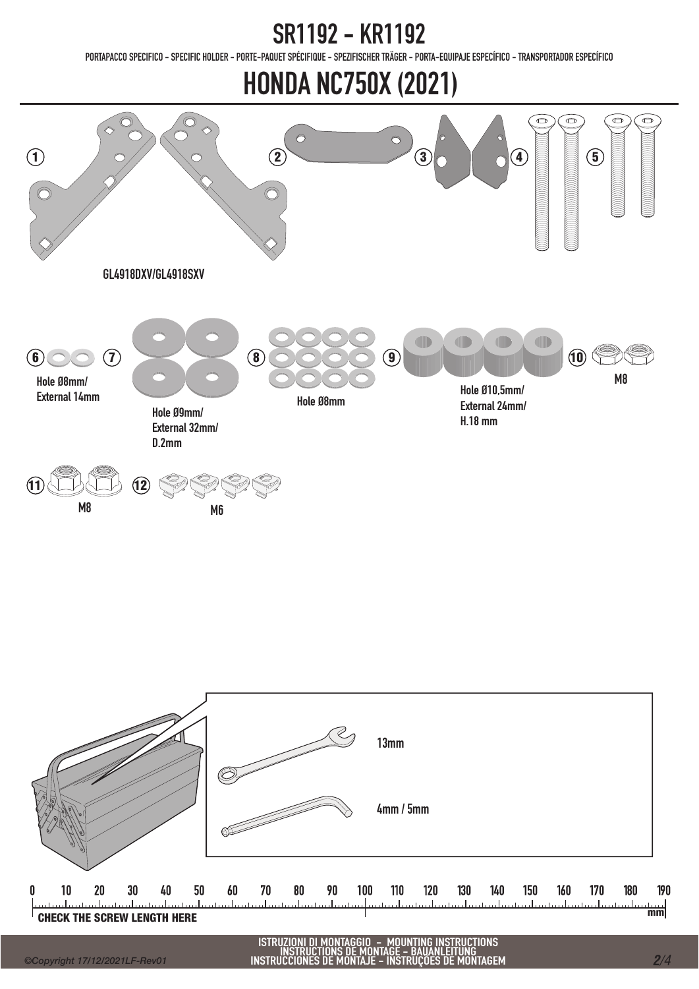PORTAPACCO SPECIFICO - SPECIFIC HOLDER - PORTE-PAQUET SPÉCIFIQUE - SPEZIFISCHER TRÄGER - PORTA-EQUIPAJE ESPECÍFICO - TRANSPORTADOR ESPECÍFICO

### HONDA NC750X (2021)





ISTRUZIONI DI MONTAGGIO – MOUNTING INSTRUCTIONS<br>INSTRUCTIONS DE MONTAGE – BAUANLEITUNG<br>INSTRUCCIONES DE MONTAJE – INSTRUÇÕES DE MONTAGEM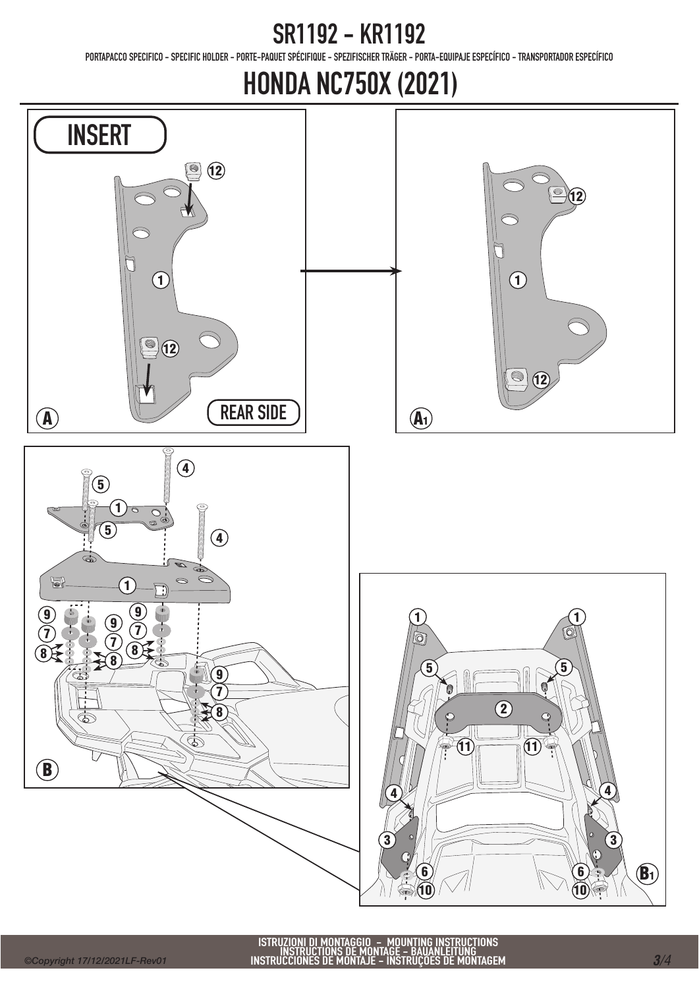PORTAPACCO SPECIFICO - SPECIFIC HOLDER - PORTE-PAQUET SPÉCIFIQUE - SPEZIFISCHER TRÄGER - PORTA-EQUIPAJE ESPECÍFICO - TRANSPORTADOR ESPECÍFICO

## HONDA NC750X (2021)